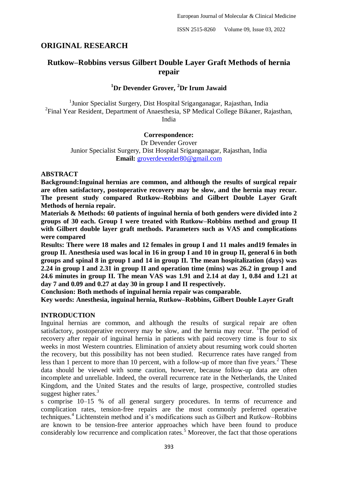## **ORIGINAL RESEARCH**

# **Rutkow–Robbins versus Gilbert Double Layer Graft Methods of hernia repair**

### **<sup>1</sup>Dr Devender Grover, <sup>2</sup>Dr Irum Jawaid**

<sup>1</sup>Junior Specialist Surgery, Dist Hospital Sriganganagar, Rajasthan, India <sup>2</sup>Final Year Resident, Department of Anaesthesia, SP Medical College Bikaner, Rajasthan, India

#### **Correspondence:**

Dr Devender Grover Junior Specialist Surgery, Dist Hospital Sriganganagar, Rajasthan, India **Email:** [groverdevender80@gmail.com](mailto:groverdevender80@gmail.com)

#### **ABSTRACT**

**Background:Inguinal hernias are common, and although the results of surgical repair are often satisfactory, postoperative recovery may be slow, and the hernia may recur. The present study compared Rutkow–Robbins and Gilbert Double Layer Graft Methods of hernia repair.**

**Materials & Methods: 60 patients of inguinal hernia of both genders were divided into 2 groups of 30 each. Group I were treated with Rutkow–Robbins method and group II with Gilbert double layer graft methods. Parameters such as VAS and complications were compared**

**Results: There were 18 males and 12 females in group I and 11 males and19 females in group II. Anesthesia used was local in 16 in group I and 10 in group II, general 6 in both groups and spinal 8 in group I and 14 in group II. The mean hospitalization (days) was 2.24 in group I and 2.31 in group II and operation time (mins) was 26.2 in group I and 24.6 minutes in group II. The mean VAS was 1.91 and 2.14 at day 1, 0.84 and 1.21 at day 7 and 0.09 and 0.27 at day 30 in group I and II respectively.** 

**Conclusion: Both methods of inguinal hernia repair was comparable.**

**Key words: Anesthesia, inguinal hernia, Rutkow–Robbins, Gilbert Double Layer Graft**

#### **INTRODUCTION**

Inguinal hernias are common, and although the results of surgical repair are often satisfactory, postoperative recovery may be slow, and the hernia may recur. <sup>1</sup>The period of recovery after repair of inguinal hernia in patients with paid recovery time is four to six weeks in most Western countries. Elimination of anxiety about resuming work could shorten the recovery, but this possibility has not been studied. Recurrence rates have ranged from less than 1 percent to more than 10 percent, with a follow-up of more than five years.<sup>2</sup> These data should be viewed with some caution, however, because follow-up data are often incomplete and unreliable. Indeed, the overall recurrence rate in the Netherlands, the United Kingdom, and the United States and the results of large, prospective, controlled studies suggest higher rates. $3$ 

s comprise 10–15 % of all general surgery procedures. In terms of recurrence and complication rates, tension-free repairs are the most commonly preferred operative techniques.<sup>4</sup> Lichtenstein method and it's modifications such as Gilbert and Rutkow–Robbins are known to be tension-free anterior approaches which have been found to produce considerably low recurrence and complication rates.<sup>5</sup> Moreover, the fact that those operations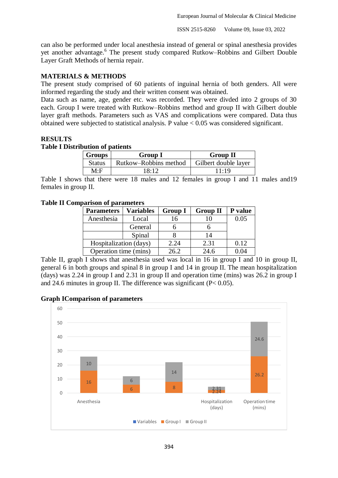can also be performed under local anesthesia instead of general or spinal anesthesia provides yet another advantage.<sup>6</sup> The present study compared Rutkow–Robbins and Gilbert Double Layer Graft Methods of hernia repair.

#### **MATERIALS & METHODS**

The present study comprised of 60 patients of inguinal hernia of both genders. All were informed regarding the study and their written consent was obtained.

Data such as name, age, gender etc. was recorded. They were divded into 2 groups of 30 each. Group I were treated with Rutkow–Robbins method and group II with Gilbert double layer graft methods. Parameters such as VAS and complications were compared. Data thus obtained were subjected to statistical analysis. P value < 0.05 was considered significant.

#### **RESULTS**

#### **Table I Distribution of patients**

| <b>Groups</b> | <b>Group I</b>        | <b>Group II</b>      |  |
|---------------|-----------------------|----------------------|--|
| <b>Status</b> | Rutkow-Robbins method | Gilbert double layer |  |
| M∙F           | 18:12                 | 11:19                |  |

Table I shows that there were 18 males and 12 females in group I and 11 males and19 females in group II.

#### **Table II Comparison of parameters**

| <b>Parameters</b>      | <b>Variables</b> | <b>Group I</b> | <b>Group II</b> | P value |
|------------------------|------------------|----------------|-----------------|---------|
| Anesthesia             | Local            | 16             |                 | 0.05    |
|                        | General          |                |                 |         |
|                        | Spinal           |                | 14              |         |
| Hospitalization (days) |                  | 2.24           | 2.31            | 0.12    |
| Operation time (mins)  |                  | 26.2           | 24.6            | .04     |

Table II, graph I shows that anesthesia used was local in 16 in group I and 10 in group II, general 6 in both groups and spinal 8 in group I and 14 in group II. The mean hospitalization (days) was 2.24 in group I and 2.31 in group II and operation time (mins) was 26.2 in group I and 24.6 minutes in group II. The difference was significant  $(P< 0.05)$ .

#### **Graph IComparison of parameters**

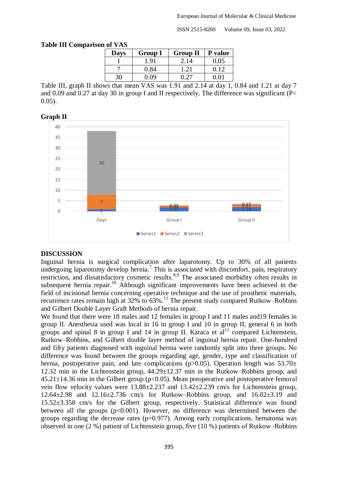ISSN 2515-8260 Volume 09, Issue 03, 2022

| 11 VI Y AV  |                |                 |         |  |  |  |  |  |
|-------------|----------------|-----------------|---------|--|--|--|--|--|
| <b>Days</b> | <b>Group I</b> | <b>Group II</b> | P value |  |  |  |  |  |
|             | l 91           | 2.14            | 0.05    |  |  |  |  |  |
|             | 0.84           |                 | 0.12    |  |  |  |  |  |
|             |                |                 |         |  |  |  |  |  |

#### **Table III Comparison of VAS**

Table III, graph II shows that mean VAS was 1.91 and 2.14 at day 1, 0.84 and 1.21 at day 7 and 0.09 and 0.27 at day 30 in group I and II respectively. The difference was significant (P< 0.05).



# **Graph II**

#### **DISCUSSION**

Inguinal hernia is surgical complication after laparotomy. Up to 30% of all patients undergoing laparotomy develop hernia.<sup>7</sup> This is associated with discomfort, pain, respiratory restriction, and dissatisfactory cosmetic results.<sup>8,9</sup> The associated morbidity often results in subsequent hernia repair.<sup>10</sup> Although significant improvements have been achieved in the field of incisional hernia concerning operative technique and the use of prosthetic materials, recurrence rates remain high at  $32\%$  to  $63\%$ .<sup>11</sup> The present study compared Rutkow–Robbins and Gilbert Double Layer Graft Methods of hernia repair.

We found that there were 18 males and 12 females in group I and 11 males and 19 females in group II. Anesthesia used was local in 16 in group I and 10 in group II, general 6 in both groups and spinal 8 in group I and 14 in group II. Karaca et  $al<sup>12</sup>$  compared Lichtenstein, Rutkow–Robbins, and Gilbert double layer method of inguinal hernia repair. One-hundred and fifty patients diagnosed with inguinal hernia were randomly split into three groups. No difference was found between the groups regarding age, gender, type and classification of hernia, postoperative pain, and late complications ( $p>0.05$ ). Operation length was  $53.70\pm$ 12.32 min in the Lichtenstein group, 44.29±12.37 min in the Rutkow–Robbins group, and  $45.21 \pm 14.36$  min in the Gilbert group (p<0.05). Mean preoperative and postoperative femoral vein flow velocity values were 13.88±2.237 and 13.42±2.239 cm/s for Lichtenstein group, 12.64±2.98 and 12.16±2.736 cm/s for Rutkow–Robbins group, and 16.02±3.19 and 15.52±3.358 cm/s for the Gilbert group, respectively. Statistical difference was found between all the groups  $(p<0.001)$ . However, no difference was determined between the groups regarding the decrease rates  $(p=0.977)$ . Among early complications, hematoma was observed in one (2 %) patient of Lichtenstein group, five (10 %) patients of Rutkow–Robbins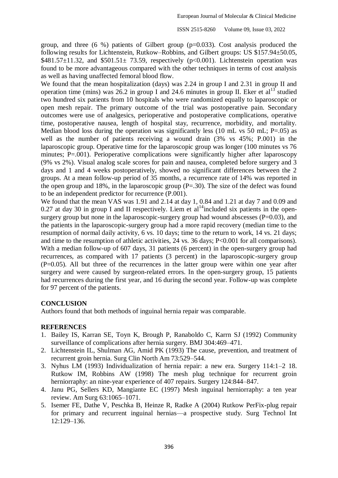ISSN 2515-8260 Volume 09, Issue 03, 2022

group, and three  $(6\% )$  patients of Gilbert group  $(p=0.033)$ . Cost analysis produced the following results for Lichtenstein, Rutkow–Robbins, and Gilbert groups: US \$157.94±50.05, \$481.57 $\pm$ 11.32, and \$501.51 $\pm$  73.59, respectively (p<0.001). Lichtenstein operation was found to be more advantageous compared with the other techniques in terms of cost analysis as well as having unaffected femoral blood flow.

We found that the mean hospitalization (days) was 2.24 in group I and 2.31 in group II and operation time (mins) was  $26.2$  in group I and 24.6 minutes in group II. Eker et al<sup>13</sup> studied two hundred six patients from 10 hospitals who were randomized equally to laparoscopic or open mesh repair. The primary outcome of the trial was postoperative pain. Secondary outcomes were use of analgesics, perioperative and postoperative complications, operative time, postoperative nausea, length of hospital stay, recurrence, morbidity, and mortality. Median blood loss during the operation was significantly less (10 mL vs 50 mL;  $P=.05$ ) as well as the number of patients receiving a wound drain (3% vs 45%; P.001) in the laparoscopic group. Operative time for the laparoscopic group was longer (100 minutes vs 76 minutes; P=.001). Perioperative complications were significantly higher after laparoscopy (9% vs 2%). Visual analog scale scores for pain and nausea, completed before surgery and 3 days and 1 and 4 weeks postoperatively, showed no significant differences between the 2 groups. At a mean follow-up period of 35 months, a recurrence rate of 14% was reported in the open group and 18%, in the laparoscopic group  $(P=.30)$ . The size of the defect was found to be an independent predictor for recurrence (P.001).

We found that the mean VAS was 1.91 and 2.14 at day 1, 0.84 and 1.21 at day 7 and 0.09 and 0.27 at day 30 in group I and II respectively. Liem et al<sup>14</sup>included six patients in the opensurgery group but none in the laparoscopic-surgery group had wound abscesses  $(P=0.03)$ , and the patients in the laparoscopic-surgery group had a more rapid recovery (median time to the resumption of normal daily activity, 6 vs. 10 days; time to the return to work, 14 vs. 21 days; and time to the resumption of athletic activities, 24 vs. 36 days; P<0.001 for all comparisons). With a median follow-up of 607 days, 31 patients (6 percent) in the open-surgery group had recurrences, as compared with 17 patients (3 percent) in the laparoscopic-surgery group  $(P=0.05)$ . All but three of the recurrences in the latter group were within one year after surgery and were caused by surgeon-related errors. In the open-surgery group, 15 patients had recurrences during the first year, and 16 during the second year. Follow-up was complete for 97 percent of the patients.

#### **CONCLUSION**

Authors found that both methods of inguinal hernia repair was comparable.

#### **REFERENCES**

- 1. Bailey IS, Karran SE, Toyn K, Brough P, Ranaboldo C, Karrn SJ (1992) Community surveillance of complications after hernia surgery. BMJ 304:469–471.
- 2. Lichtenstein IL, Shulman AG, Amid PK (1993) The cause, prevention, and treatment of recurrent groin hernia. Surg Clin North Am 73:529–544.
- 3. Nyhus LM (1993) Individualization of hernia repair: a new era. Surgery 114:1–2 18. Rutkow IM, Robbins AW (1998) The mesh plug technique for recurrent groin herniorraphy: an nine-year experience of 407 repairs. Surgery 124:844–847.
- 4. Janu PG, Sellers KD, Mangiante EC (1997) Mesh inguinal herniorraphy: a ten year review. Am Surg 63:1065–1071.
- 5. Isemer FE, Dathe V, Peschka B, Heinze R, Radke A (2004) Rutkow PerFix-plug repair for primary and recurrent inguinal hernias—a prospective study. Surg Technol Int 12:129–136.